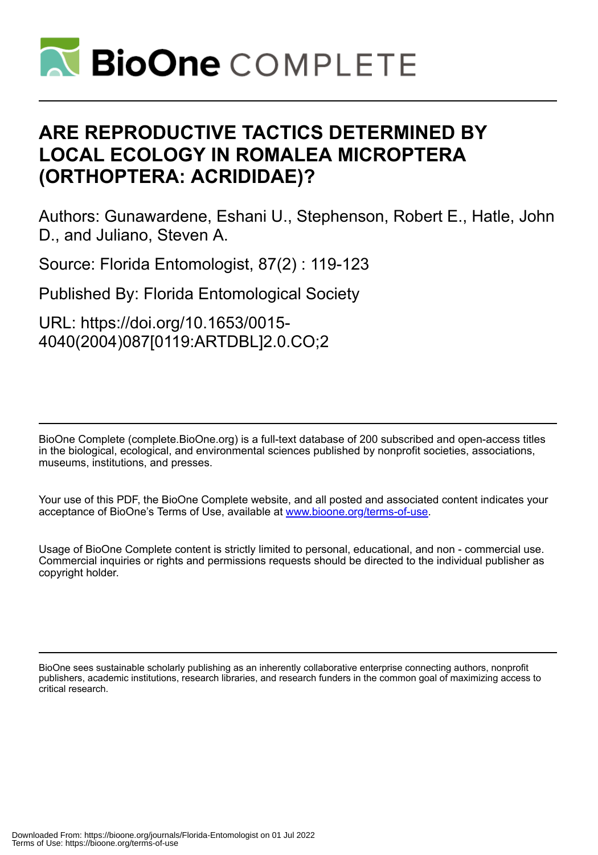

# **ARE REPRODUCTIVE TACTICS DETERMINED BY LOCAL ECOLOGY IN ROMALEA MICROPTERA (ORTHOPTERA: ACRIDIDAE)?**

Authors: Gunawardene, Eshani U., Stephenson, Robert E., Hatle, John D., and Juliano, Steven A.

Source: Florida Entomologist, 87(2) : 119-123

Published By: Florida Entomological Society

URL: https://doi.org/10.1653/0015- 4040(2004)087[0119:ARTDBL]2.0.CO;2

BioOne Complete (complete.BioOne.org) is a full-text database of 200 subscribed and open-access titles in the biological, ecological, and environmental sciences published by nonprofit societies, associations, museums, institutions, and presses.

Your use of this PDF, the BioOne Complete website, and all posted and associated content indicates your acceptance of BioOne's Terms of Use, available at www.bioone.org/terms-of-use.

Usage of BioOne Complete content is strictly limited to personal, educational, and non - commercial use. Commercial inquiries or rights and permissions requests should be directed to the individual publisher as copyright holder.

BioOne sees sustainable scholarly publishing as an inherently collaborative enterprise connecting authors, nonprofit publishers, academic institutions, research libraries, and research funders in the common goal of maximizing access to critical research.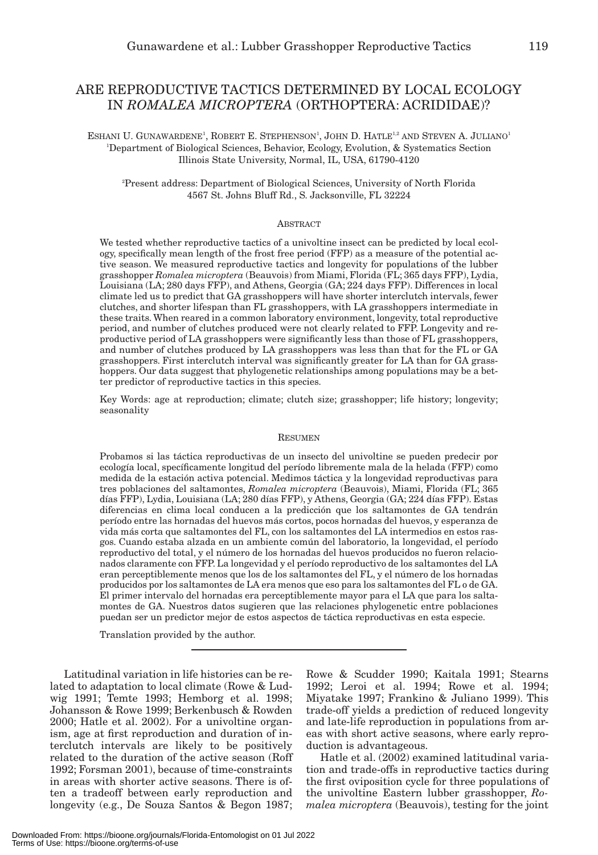# ARE REPRODUCTIVE TACTICS DETERMINED BY LOCAL ECOLOGY IN *ROMALEA MICROPTERA* (ORTHOPTERA: ACRIDIDAE)?

ESHANI U. GUNAWARDENE<sup>1</sup>, ROBERT E. STEPHENSON<sup>1</sup>, JOHN D. HATLE<sup>1,2</sup> AND STEVEN A. JULIANO<sup>1</sup> 1 Department of Biological Sciences, Behavior, Ecology, Evolution, & Systematics Section Illinois State University, Normal, IL, USA, 61790-4120

2 Present address: Department of Biological Sciences, University of North Florida 4567 St. Johns Bluff Rd., S. Jacksonville, FL 32224

### ABSTRACT

We tested whether reproductive tactics of a univoltine insect can be predicted by local ecology, specifically mean length of the frost free period (FFP) as a measure of the potential active season. We measured reproductive tactics and longevity for populations of the lubber grasshopper *Romalea microptera* (Beauvois) from Miami, Florida (FL; 365 days FFP), Lydia, Louisiana (LA; 280 days FFP), and Athens, Georgia (GA; 224 days FFP). Differences in local climate led us to predict that GA grasshoppers will have shorter interclutch intervals, fewer clutches, and shorter lifespan than FL grasshoppers, with LA grasshoppers intermediate in these traits. When reared in a common laboratory environment, longevity, total reproductive period, and number of clutches produced were not clearly related to FFP. Longevity and reproductive period of LA grasshoppers were significantly less than those of FL grasshoppers, and number of clutches produced by LA grasshoppers was less than that for the FL or GA grasshoppers. First interclutch interval was significantly greater for LA than for GA grasshoppers. Our data suggest that phylogenetic relationships among populations may be a better predictor of reproductive tactics in this species.

Key Words: age at reproduction; climate; clutch size; grasshopper; life history; longevity; seasonality

#### RESUMEN

Probamos si las táctica reproductivas de un insecto del univoltine se pueden predecir por ecología local, specíficamente longitud del período libremente mala de la helada (FFP) como medida de la estación activa potencial. Medimos táctica y la longevidad reproductivas para tres poblaciones del saltamontes, *Romalea microptera* (Beauvois), Miami, Florida (FL; 365 días FFP), Lydia, Louisiana (LA; 280 días FFP), y Athens, Georgia (GA; 224 días FFP). Estas diferencias en clima local conducen a la predicción que los saltamontes de GA tendrán período entre las hornadas del huevos más cortos, pocos hornadas del huevos, y esperanza de vida más corta que saltamontes del FL, con los saltamontes del LA intermedios en estos rasgos. Cuando estaba alzada en un ambiente común del laboratorio, la longevidad, el período reproductivo del total, y el número de los hornadas del huevos producidos no fueron relacionados claramente con FFP. La longevidad y el período reproductivo de los saltamontes del LA eran perceptiblemente menos que los de los saltamontes del FL, y el número de los hornadas producidos por los saltamontes de LA era menos que eso para los saltamontes del FL o de GA. El primer intervalo del hornadas era perceptiblemente mayor para el LA que para los saltamontes de GA. Nuestros datos sugieren que las relaciones phylogenetic entre poblaciones puedan ser un predictor mejor de estos aspectos de táctica reproductivas en esta especie.

Translation provided by the author.

Latitudinal variation in life histories can be related to adaptation to local climate (Rowe & Ludwig 1991; Temte 1993; Hemborg et al. 1998; Johansson & Rowe 1999; Berkenbusch & Rowden 2000; Hatle et al. 2002). For a univoltine organism, age at first reproduction and duration of interclutch intervals are likely to be positively related to the duration of the active season (Roff 1992; Forsman 2001), because of time-constraints in areas with shorter active seasons. There is often a tradeoff between early reproduction and longevity (e.g., De Souza Santos & Begon 1987;

Rowe & Scudder 1990; Kaitala 1991; Stearns 1992; Leroi et al. 1994; Rowe et al. 1994; Miyatake 1997; Frankino & Juliano 1999). This trade-off yields a prediction of reduced longevity and late-life reproduction in populations from areas with short active seasons, where early reproduction is advantageous.

Hatle et al. (2002) examined latitudinal variation and trade-offs in reproductive tactics during the first oviposition cycle for three populations of the univoltine Eastern lubber grasshopper, *Romalea microptera* (Beauvois), testing for the joint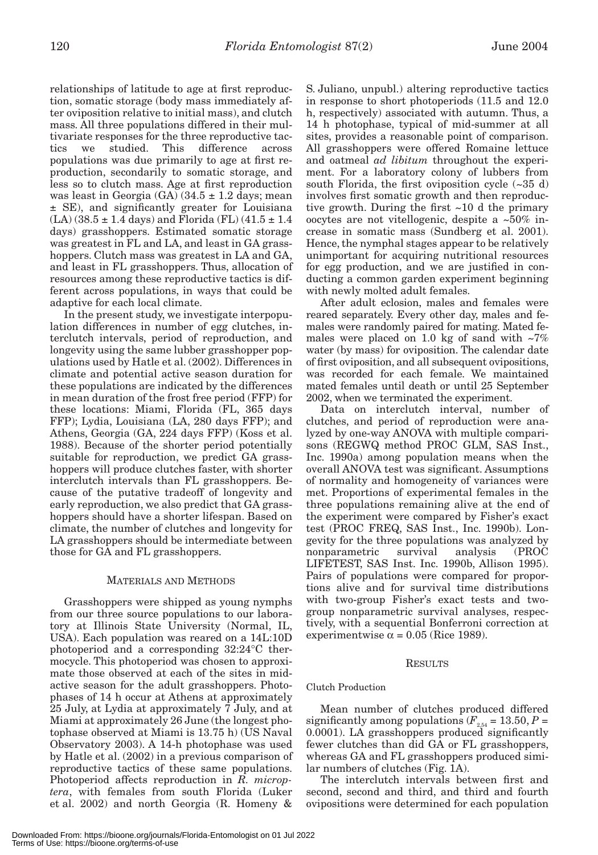relationships of latitude to age at first reproduction, somatic storage (body mass immediately after oviposition relative to initial mass), and clutch mass. All three populations differed in their multivariate responses for the three reproductive tactics we studied. This difference across populations was due primarily to age at first reproduction, secondarily to somatic storage, and less so to clutch mass. Age at first reproduction was least in Georgia  $(GA)$  (34.5  $\pm$  1.2 days; mean ± SE), and significantly greater for Louisiana  $(LA)$  (38.5  $\pm$  1.4 days) and Florida (FL) (41.5  $\pm$  1.4 days) grasshoppers. Estimated somatic storage was greatest in FL and LA, and least in GA grasshoppers. Clutch mass was greatest in LA and GA, and least in FL grasshoppers. Thus, allocation of resources among these reproductive tactics is different across populations, in ways that could be adaptive for each local climate.

In the present study, we investigate interpopulation differences in number of egg clutches, interclutch intervals, period of reproduction, and longevity using the same lubber grasshopper populations used by Hatle et al. (2002). Differences in climate and potential active season duration for these populations are indicated by the differences in mean duration of the frost free period (FFP) for these locations: Miami, Florida (FL, 365 days FFP); Lydia, Louisiana (LA, 280 days FFP); and Athens, Georgia (GA, 224 days FFP) (Koss et al. 1988). Because of the shorter period potentially suitable for reproduction, we predict GA grasshoppers will produce clutches faster, with shorter interclutch intervals than FL grasshoppers. Because of the putative tradeoff of longevity and early reproduction, we also predict that GA grasshoppers should have a shorter lifespan. Based on climate, the number of clutches and longevity for LA grasshoppers should be intermediate between those for GA and FL grasshoppers.

# MATERIALS AND METHODS

Grasshoppers were shipped as young nymphs from our three source populations to our laboratory at Illinois State University (Normal, IL, USA). Each population was reared on a 14L:10D photoperiod and a corresponding 32:24°C thermocycle. This photoperiod was chosen to approximate those observed at each of the sites in midactive season for the adult grasshoppers. Photophases of 14 h occur at Athens at approximately 25 July, at Lydia at approximately 7 July, and at Miami at approximately 26 June (the longest photophase observed at Miami is 13.75 h) (US Naval Observatory 2003). A 14-h photophase was used by Hatle et al. (2002) in a previous comparison of reproductive tactics of these same populations. Photoperiod affects reproduction in *R. microptera*, with females from south Florida (Luker et al. 2002) and north Georgia (R. Homeny &

S. Juliano, unpubl.) altering reproductive tactics in response to short photoperiods (11.5 and 12.0 h, respectively) associated with autumn. Thus, a 14 h photophase, typical of mid-summer at all sites, provides a reasonable point of comparison. All grasshoppers were offered Romaine lettuce and oatmeal *ad libitum* throughout the experiment. For a laboratory colony of lubbers from south Florida, the first oviposition cycle  $(-35 d)$ involves first somatic growth and then reproductive growth. During the first ~10 d the primary oocytes are not vitellogenic, despite a ~50% increase in somatic mass (Sundberg et al. 2001). Hence, the nymphal stages appear to be relatively unimportant for acquiring nutritional resources for egg production, and we are justified in conducting a common garden experiment beginning with newly molted adult females.

After adult eclosion, males and females were reared separately. Every other day, males and females were randomly paired for mating. Mated females were placed on 1.0 kg of sand with  $\sim7\%$ water (by mass) for oviposition. The calendar date of first oviposition, and all subsequent ovipositions, was recorded for each female. We maintained mated females until death or until 25 September 2002, when we terminated the experiment.

Data on interclutch interval, number of clutches, and period of reproduction were analyzed by one-way ANOVA with multiple comparisons (REGWQ method PROC GLM, SAS Inst., Inc. 1990a) among population means when the overall ANOVA test was significant. Assumptions of normality and homogeneity of variances were met. Proportions of experimental females in the three populations remaining alive at the end of the experiment were compared by Fisher's exact test (PROC FREQ, SAS Inst., Inc. 1990b). Longevity for the three populations was analyzed by nonparametric survival analysis (PROC LIFETEST, SAS Inst. Inc. 1990b, Allison 1995). Pairs of populations were compared for proportions alive and for survival time distributions with two-group Fisher's exact tests and twogroup nonparametric survival analyses, respectively, with a sequential Bonferroni correction at experimentwise  $\alpha = 0.05$  (Rice 1989).

## **RESULTS**

# Clutch Production

Mean number of clutches produced differed significantly among populations ( $F_{2,54} = 13.50, P =$ 0.0001). LA grasshoppers produced significantly fewer clutches than did GA or FL grasshoppers, whereas GA and FL grasshoppers produced similar numbers of clutches (Fig. 1A).

The interclutch intervals between first and second, second and third, and third and fourth ovipositions were determined for each population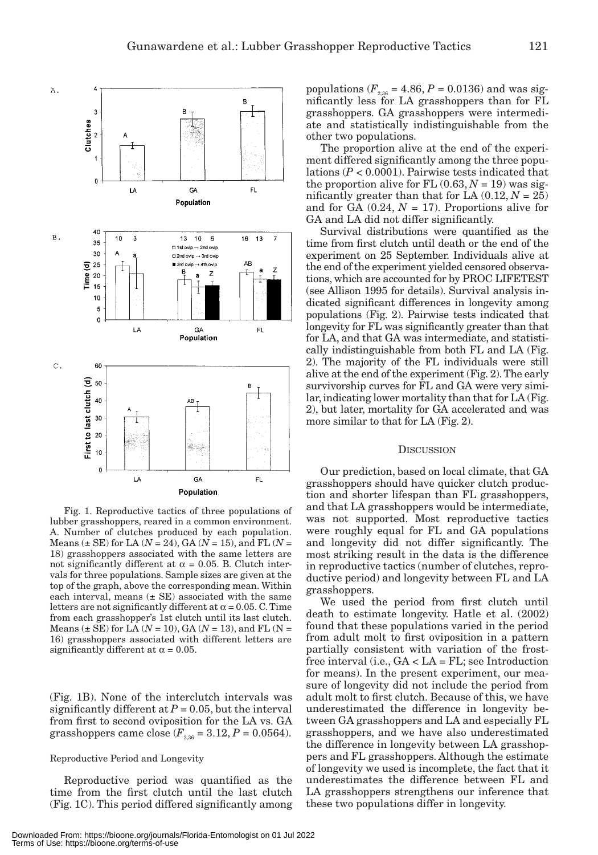

Fig. 1. Reproductive tactics of three populations of lubber grasshoppers, reared in a common environment. A. Number of clutches produced by each population. Means  $(\pm$  SE) for LA ( $N = 24$ ), GA ( $N = 15$ ), and FL ( $N =$ 18) grasshoppers associated with the same letters are not significantly different at  $α = 0.05$ . B. Clutch intervals for three populations. Sample sizes are given at the top of the graph, above the corresponding mean. Within each interval, means  $(\pm \text{ SE})$  associated with the same letters are not significantly different at  $\alpha$  = 0.05. C. Time from each grasshopper's 1st clutch until its last clutch. Means  $(\pm$  SE) for LA  $(N = 10)$ , GA  $(N = 13)$ , and FL  $(N = 11)$ 16) grasshoppers associated with different letters are significantly different at  $\alpha = 0.05$ .

(Fig. 1B). None of the interclutch intervals was significantly different at  $P = 0.05$ , but the interval from first to second oviposition for the LA vs. GA grasshoppers came close  $(F_{2,36} = 3.12, P = 0.0564)$ .

# Reproductive Period and Longevity

Reproductive period was quantified as the time from the first clutch until the last clutch (Fig. 1C). This period differed significantly among

populations ( $F_{2,36}$  = 4.86,  $P$  = 0.0136) and was significantly less for LA grasshoppers than for FL grasshoppers. GA grasshoppers were intermediate and statistically indistinguishable from the other two populations.

The proportion alive at the end of the experiment differed significantly among the three populations (*P* < 0.0001). Pairwise tests indicated that the proportion alive for FL  $(0.63, N = 19)$  was significantly greater than that for LA  $(0.12, N = 25)$ and for GA  $(0.24, N = 17)$ . Proportions alive for GA and LA did not differ significantly.

Survival distributions were quantified as the time from first clutch until death or the end of the experiment on 25 September. Individuals alive at the end of the experiment yielded censored observations, which are accounted for by PROC LIFETEST (see Allison 1995 for details). Survival analysis indicated significant differences in longevity among populations (Fig. 2). Pairwise tests indicated that longevity for FL was significantly greater than that for LA, and that GA was intermediate, and statistically indistinguishable from both FL and LA (Fig. 2). The majority of the FL individuals were still alive at the end of the experiment (Fig. 2). The early survivorship curves for FL and GA were very similar, indicating lower mortality than that for LA (Fig. 2), but later, mortality for GA accelerated and was more similar to that for LA (Fig. 2).

#### **DISCUSSION**

Our prediction, based on local climate, that GA grasshoppers should have quicker clutch production and shorter lifespan than FL grasshoppers, and that LA grasshoppers would be intermediate, was not supported. Most reproductive tactics were roughly equal for FL and GA populations and longevity did not differ significantly. The most striking result in the data is the difference in reproductive tactics (number of clutches, reproductive period) and longevity between FL and LA grasshoppers.

We used the period from first clutch until death to estimate longevity. Hatle et al. (2002) found that these populations varied in the period from adult molt to first oviposition in a pattern partially consistent with variation of the frostfree interval (i.e., GA < LA = FL; see Introduction for means). In the present experiment, our measure of longevity did not include the period from adult molt to first clutch. Because of this, we have underestimated the difference in longevity between GA grasshoppers and LA and especially FL grasshoppers, and we have also underestimated the difference in longevity between LA grasshoppers and FL grasshoppers. Although the estimate of longevity we used is incomplete, the fact that it underestimates the difference between FL and LA grasshoppers strengthens our inference that these two populations differ in longevity.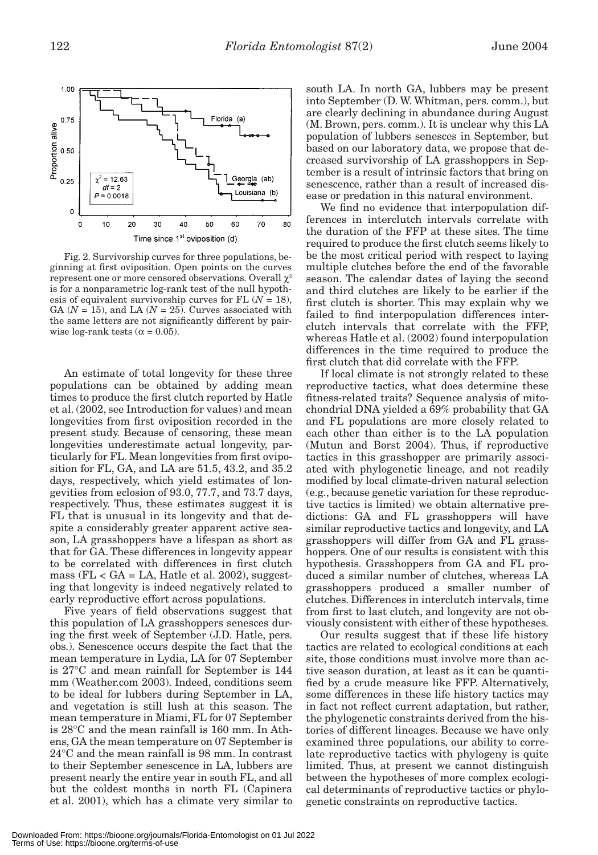

Fig. 2. Survivorship curves for three populations, beginning at first oviposition. Open points on the curves represent one or more censored observations. Overall  $\chi^2$ is for a nonparametric log-rank test of the null hypothesis of equivalent survivorship curves for FL  $(N = 18)$ , GA  $(N = 15)$ , and LA  $(N = 25)$ . Curves associated with the same letters are not significantly different by pairwise log-rank tests ( $\alpha$  = 0.05).

An estimate of total longevity for these three populations can be obtained by adding mean times to produce the first clutch reported by Hatle et al. (2002, see Introduction for values) and mean longevities from first oviposition recorded in the present study. Because of censoring, these mean longevities underestimate actual longevity, particularly for FL. Mean longevities from first oviposition for FL, GA, and LA are 51.5, 43.2, and 35.2 days, respectively, which yield estimates of longevities from eclosion of 93.0, 77.7, and 73.7 days, respectively. Thus, these estimates suggest it is FL that is unusual in its longevity and that despite a considerably greater apparent active season, LA grasshoppers have a lifespan as short as that for GA. These differences in longevity appear to be correlated with differences in first clutch mass  $(FL < GA = LA, H atle et al. 2002)$ , suggesting that longevity is indeed negatively related to early reproductive effort across populations.

Five years of field observations suggest that this population of LA grasshoppers senesces during the first week of September (J.D. Hatle, pers. obs.). Senescence occurs despite the fact that the mean temperature in Lydia, LA for 07 September is 27°C and mean rainfall for September is 144 mm (Weather.com 2003). Indeed, conditions seem to be ideal for lubbers during September in LA, and vegetation is still lush at this season. The mean temperature in Miami, FL for 07 September is 28°C and the mean rainfall is 160 mm. In Athens, GA the mean temperature on 07 September is 24°C and the mean rainfall is 98 mm. In contrast to their September senescence in LA, lubbers are present nearly the entire year in south FL, and all but the coldest months in north FL (Capinera et al. 2001), which has a climate very similar to

south LA. In north GA, lubbers may be present into September (D. W. Whitman, pers. comm.), but are clearly declining in abundance during August (M. Brown, pers. comm.). It is unclear why this LA population of lubbers senesces in September, but based on our laboratory data, we propose that decreased survivorship of LA grasshoppers in September is a result of intrinsic factors that bring on senescence, rather than a result of increased disease or predation in this natural environment.

We find no evidence that interpopulation differences in interclutch intervals correlate with the duration of the FFP at these sites. The time required to produce the first clutch seems likely to be the most critical period with respect to laying multiple clutches before the end of the favorable season. The calendar dates of laying the second and third clutches are likely to be earlier if the first clutch is shorter. This may explain why we failed to find interpopulation differences interclutch intervals that correlate with the FFP, whereas Hatle et al. (2002) found interpopulation differences in the time required to produce the first clutch that did correlate with the FFP.

If local climate is not strongly related to these reproductive tactics, what does determine these fitness-related traits? Sequence analysis of mitochondrial DNA yielded a 69% probability that GA and FL populations are more closely related to each other than either is to the LA population (Mutun and Borst 2004). Thus, if reproductive tactics in this grasshopper are primarily associated with phylogenetic lineage, and not readily modified by local climate-driven natural selection (e.g., because genetic variation for these reproductive tactics is limited) we obtain alternative predictions: GA and FL grasshoppers will have similar reproductive tactics and longevity, and LA grasshoppers will differ from GA and FL grasshoppers. One of our results is consistent with this hypothesis. Grasshoppers from GA and FL produced a similar number of clutches, whereas LA grasshoppers produced a smaller number of clutches. Differences in interclutch intervals, time from first to last clutch, and longevity are not obviously consistent with either of these hypotheses.

Our results suggest that if these life history tactics are related to ecological conditions at each site, those conditions must involve more than active season duration, at least as it can be quantified by a crude measure like FFP. Alternatively, some differences in these life history tactics may in fact not reflect current adaptation, but rather, the phylogenetic constraints derived from the histories of different lineages. Because we have only examined three populations, our ability to correlate reproductive tactics with phylogeny is quite limited. Thus, at present we cannot distinguish between the hypotheses of more complex ecological determinants of reproductive tactics or phylogenetic constraints on reproductive tactics.